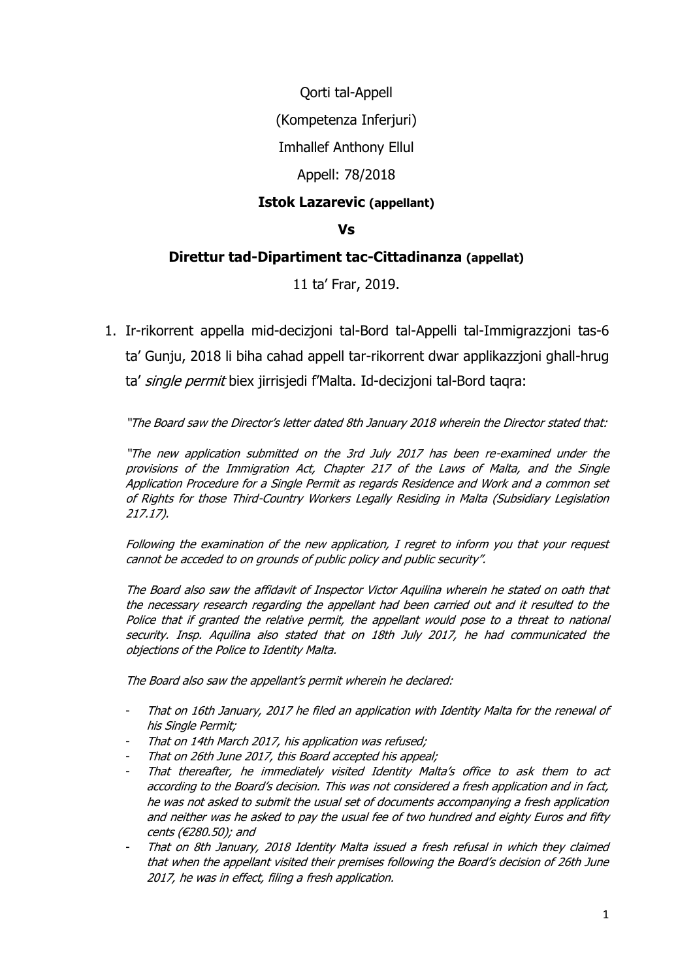Qorti tal-Appell

(Kompetenza Inferjuri)

Imhallef Anthony Ellul

Appell: 78/2018

## **Istok Lazarevic (appellant)**

## **Vs**

## **Direttur tad-Dipartiment tac-Cittadinanza (appellat)**

11 ta' Frar, 2019.

1. Ir-rikorrent appella mid-decizjoni tal-Bord tal-Appelli tal-Immigrazzjoni tas-6 ta' Gunju, 2018 li biha cahad appell tar-rikorrent dwar applikazzjoni ghall-hrug ta' single permit biex jirrisjedi f'Malta. Id-decizjoni tal-Bord taqra:

"The Board saw the Director's letter dated 8th January 2018 wherein the Director stated that:

"The new application submitted on the 3rd July 2017 has been re-examined under the provisions of the Immigration Act, Chapter 217 of the Laws of Malta, and the Single Application Procedure for a Single Permit as regards Residence and Work and a common set of Rights for those Third-Country Workers Legally Residing in Malta (Subsidiary Legislation 217.17).

Following the examination of the new application, I regret to inform you that your request cannot be acceded to on grounds of public policy and public security".

The Board also saw the affidavit of Inspector Victor Aquilina wherein he stated on oath that the necessary research regarding the appellant had been carried out and it resulted to the Police that if granted the relative permit, the appellant would pose to a threat to national security. Insp. Aquilina also stated that on 18th July 2017, he had communicated the objections of the Police to Identity Malta.

The Board also saw the appellant's permit wherein he declared:

- That on 16th January, 2017 he filed an application with Identity Malta for the renewal of his Single Permit;
- That on 14th March 2017, his application was refused;
- That on 26th June 2017, this Board accepted his appeal;
- That thereafter, he immediately visited Identity Malta's office to ask them to act according to the Board's decision. This was not considered a fresh application and in fact, he was not asked to submit the usual set of documents accompanying a fresh application and neither was he asked to pay the usual fee of two hundred and eighty Euros and fifty cents (€280.50); and
- That on 8th January, 2018 Identity Malta issued a fresh refusal in which they claimed that when the appellant visited their premises following the Board's decision of 26th June 2017, he was in effect, filing a fresh application.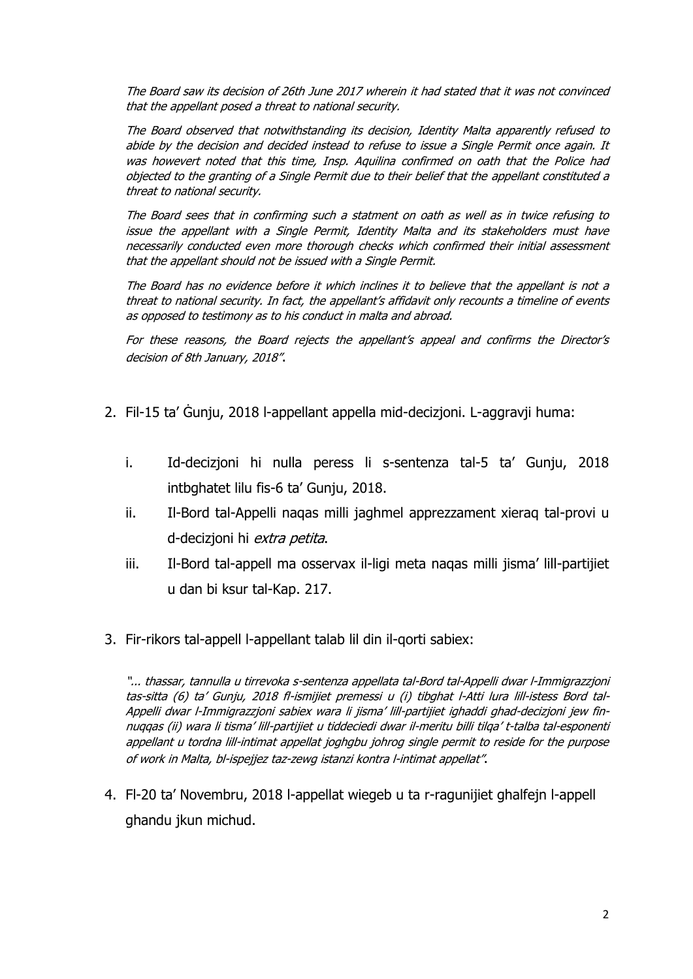The Board saw its decision of 26th June 2017 wherein it had stated that it was not convinced that the appellant posed a threat to national security.

The Board observed that notwithstanding its decision, Identity Malta apparently refused to abide by the decision and decided instead to refuse to issue a Single Permit once again. It was howevert noted that this time, Insp. Aquilina confirmed on oath that the Police had objected to the granting of a Single Permit due to their belief that the appellant constituted a threat to national security.

The Board sees that in confirming such a statment on oath as well as in twice refusing to issue the appellant with a Single Permit, Identity Malta and its stakeholders must have necessarily conducted even more thorough checks which confirmed their initial assessment that the appellant should not be issued with a Single Permit.

The Board has no evidence before it which inclines it to believe that the appellant is not a threat to national security. In fact, the appellant's affidavit only recounts a timeline of events as opposed to testimony as to his conduct in malta and abroad.

For these reasons, the Board rejects the appellant's appeal and confirms the Director's decision of 8th January, 2018".

- 2. Fil-15 ta' Ġunju, 2018 l-appellant appella mid-decizjoni. L-aggravji huma:
	- i. Id-decizjoni hi nulla peress li s-sentenza tal-5 ta' Gunju, 2018 intbghatet lilu fis-6 ta' Gunju, 2018.
	- ii. Il-Bord tal-Appelli nagas milli jaghmel apprezzament xierag tal-provi u d-decizioni hi *extra petita*.
	- iii. Il-Bord tal-appell ma osservax il-ligi meta nagas milli jisma' lill-partijiet u dan bi ksur tal-Kap. 217.
- 3. Fir-rikors tal-appell l-appellant talab lil din il-qorti sabiex:

"... thassar, tannulla u tirrevoka s-sentenza appellata tal-Bord tal-Appelli dwar l-Immigrazzjoni tas-sitta (6) ta' Gunju, 2018 fl-ismijiet premessi u (i) tibghat l-Atti lura lill-istess Bord tal-Appelli dwar l-Immigrazzjoni sabiex wara li jisma' lill-partijiet ighaddi ghad-decizjoni jew finnuqqas (ii) wara li tisma' lill-partijiet u tiddeciedi dwar il-meritu billi tilqa' t-talba tal-esponenti appellant u tordna lill-intimat appellat joghgbu johrog single permit to reside for the purpose of work in Malta, bl-ispejjez taz-zewg istanzi kontra l-intimat appellat".

4. Fl-20 ta' Novembru, 2018 l-appellat wiegeb u ta r-ragunijiet ghalfejn l-appell ghandu jkun michud.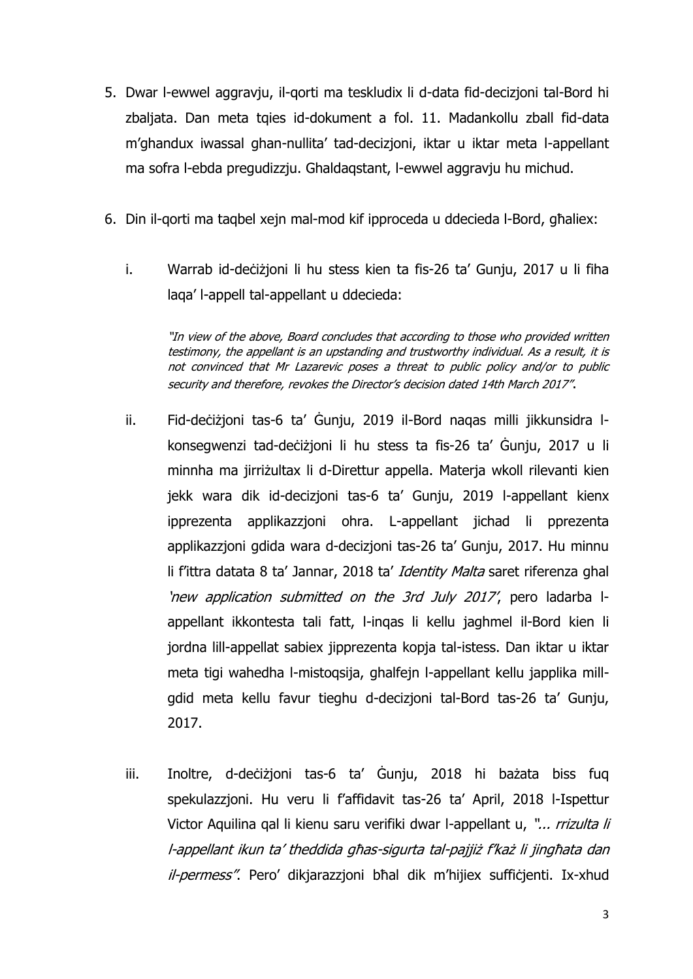- 5. Dwar l-ewwel aggravju, il-qorti ma teskludix li d-data fid-decizjoni tal-Bord hi zbaljata. Dan meta tqies id-dokument a fol. 11. Madankollu zball fid-data m'ghandux iwassal ghan-nullita' tad-decizjoni, iktar u iktar meta l-appellant ma sofra l-ebda pregudizzju. Ghaldaqstant, l-ewwel aggravju hu michud.
- 6. Din il-qorti ma taqbel xejn mal-mod kif ipproceda u ddecieda l-Bord, għaliex:
	- i. Warrab id-deċiżjoni li hu stess kien ta fis-26 ta' Gunju, 2017 u li fiha laqa' l-appell tal-appellant u ddecieda:

"In view of the above, Board concludes that according to those who provided written testimony, the appellant is an upstanding and trustworthy individual. As a result, it is not convinced that Mr Lazarevic poses a threat to public policy and/or to public security and therefore, revokes the Director's decision dated 14th March 2017".

- ii. Fid-deċiżjoni tas-6 ta' Ġunju, 2019 il-Bord naqas milli jikkunsidra lkonsegwenzi tad-deċiżjoni li hu stess ta fis-26 ta' Ġunju, 2017 u li minnha ma jirriżultax li d-Direttur appella. Materja wkoll rilevanti kien jekk wara dik id-decizjoni tas-6 ta' Gunju, 2019 l-appellant kienx ipprezenta applikazzjoni ohra. L-appellant jichad li pprezenta applikazzjoni gdida wara d-decizjoni tas-26 ta' Gunju, 2017. Hu minnu li f'ittra datata 8 ta' Jannar, 2018 ta' Identity Malta saret riferenza ghal 'new application submitted on the 3rd July 2017', pero ladarba lappellant ikkontesta tali fatt, l-inqas li kellu jaghmel il-Bord kien li jordna lill-appellat sabiex jipprezenta kopja tal-istess. Dan iktar u iktar meta tigi wahedha l-mistoqsija, ghalfejn l-appellant kellu japplika millgdid meta kellu favur tieghu d-decizjoni tal-Bord tas-26 ta' Gunju, 2017.
- iii. Inoltre, d-deċiżjoni tas-6 ta' Ġunju, 2018 hi bażata biss fuq spekulazzjoni. Hu veru li f'affidavit tas-26 ta' April, 2018 l-Ispettur Victor Aquilina qal li kienu saru verifiki dwar l-appellant u, "... rrizulta li l-appellant ikun ta' theddida għas-sigurta tal-pajjiż f'każ li jingħata dan il-permess". Pero' dikjarazzjoni bħal dik m'hijiex sufficjenti. Ix-xhud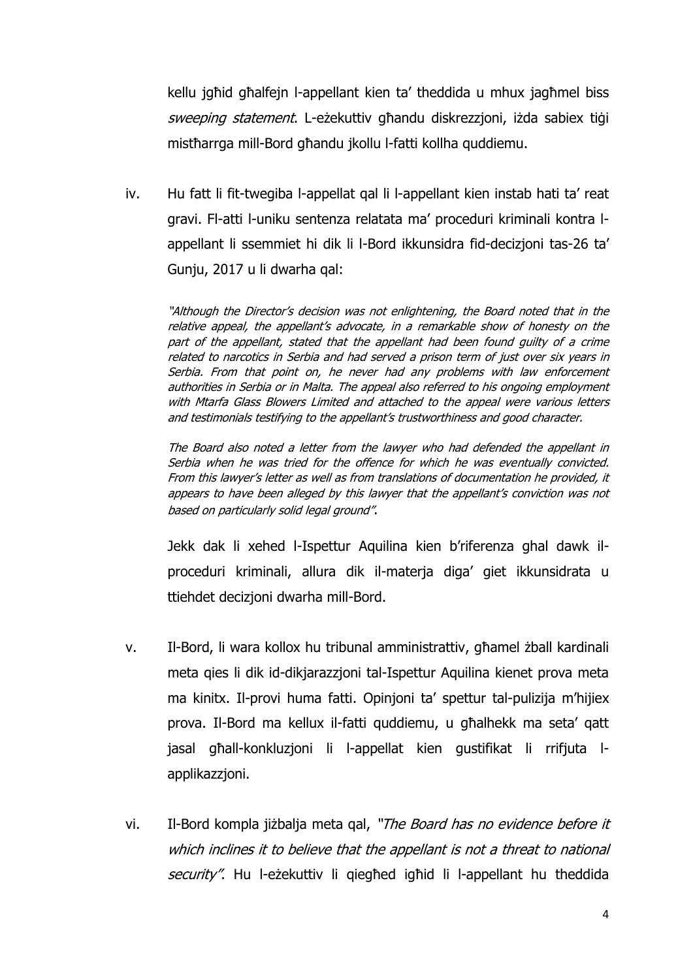kellu jgħid għalfejn l-appellant kien ta' theddida u mhux jagħmel biss sweeping statement. L-eżekuttiv għandu diskrezzjoni, iżda sabiex tiġi mistħarrga mill-Bord għandu jkollu l-fatti kollha quddiemu.

iv. Hu fatt li fit-twegiba l-appellat qal li l-appellant kien instab hati ta' reat gravi. Fl-atti l-uniku sentenza relatata ma' proceduri kriminali kontra lappellant li ssemmiet hi dik li l-Bord ikkunsidra fid-decizjoni tas-26 ta' Gunju, 2017 u li dwarha qal:

"Although the Director's decision was not enlightening, the Board noted that in the relative appeal, the appellant's advocate, in a remarkable show of honesty on the part of the appellant, stated that the appellant had been found guilty of a crime related to narcotics in Serbia and had served a prison term of just over six years in Serbia. From that point on, he never had any problems with law enforcement authorities in Serbia or in Malta. The appeal also referred to his ongoing employment with Mtarfa Glass Blowers Limited and attached to the appeal were various letters and testimonials testifying to the appellant's trustworthiness and good character.

The Board also noted a letter from the lawyer who had defended the appellant in Serbia when he was tried for the offence for which he was eventually convicted. From this lawyer's letter as well as from translations of documentation he provided, it appears to have been alleged by this lawyer that the appellant's conviction was not based on particularly solid legal ground".

Jekk dak li xehed l-Ispettur Aquilina kien b'riferenza ghal dawk ilproceduri kriminali, allura dik il-materja diga' giet ikkunsidrata u ttiehdet decizjoni dwarha mill-Bord.

- v. Il-Bord, li wara kollox hu tribunal amministrattiv, għamel żball kardinali meta qies li dik id-dikjarazzjoni tal-Ispettur Aquilina kienet prova meta ma kinitx. Il-provi huma fatti. Opinjoni ta' spettur tal-pulizija m'hijiex prova. Il-Bord ma kellux il-fatti quddiemu, u għalhekk ma seta' qatt jasal għall-konkluzjoni li l-appellat kien gustifikat li rrifjuta lapplikazzjoni.
- vi. Il-Bord kompla jiżbalja meta gal, "The Board has no evidence before it which inclines it to believe that the appellant is not a threat to national security". Hu l-eżekuttiv li qiegħed igħid li l-appellant hu theddida